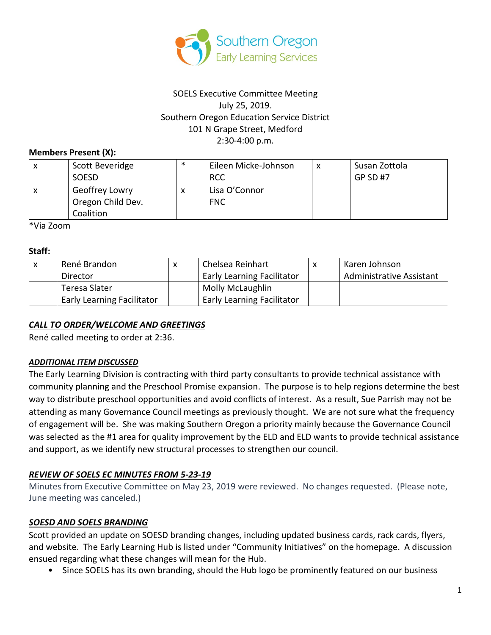

## SOELS Executive Committee Meeting July 25, 2019. Southern Oregon Education Service District 101 N Grape Street, Medford 2:30-4:00 p.m.

#### **Members Present (X):**

| x | Scott Beveridge   | ∗ | Eileen Micke-Johnson | $\checkmark$ | Susan Zottola |
|---|-------------------|---|----------------------|--------------|---------------|
|   | <b>SOESD</b>      |   | <b>RCC</b>           |              | GP SD #7      |
|   | Geoffrey Lowry    |   | Lisa O'Connor        |              |               |
|   | Oregon Child Dev. |   | <b>FNC</b>           |              |               |
|   | Coalition         |   |                      |              |               |

\*Via Zoom

#### **Staff:**

| René Brandon                      | x | Chelsea Reinhart                  | Karen Johnson                   |
|-----------------------------------|---|-----------------------------------|---------------------------------|
| Director                          |   | <b>Early Learning Facilitator</b> | <b>Administrative Assistant</b> |
| Teresa Slater                     |   | <b>Molly McLaughlin</b>           |                                 |
| <b>Early Learning Facilitator</b> |   | <b>Early Learning Facilitator</b> |                                 |

## *CALL TO ORDER/WELCOME AND GREETINGS*

René called meeting to order at 2:36.

#### *ADDITIONAL ITEM DISCUSSED*

The Early Learning Division is contracting with third party consultants to provide technical assistance with community planning and the Preschool Promise expansion. The purpose is to help regions determine the best way to distribute preschool opportunities and avoid conflicts of interest. As a result, Sue Parrish may not be attending as many Governance Council meetings as previously thought. We are not sure what the frequency of engagement will be. She was making Southern Oregon a priority mainly because the Governance Council was selected as the #1 area for quality improvement by the ELD and ELD wants to provide technical assistance and support, as we identify new structural processes to strengthen our council.

## *REVIEW OF SOELS EC MINUTES FROM 5-23-19*

Minutes from Executive Committee on May 23, 2019 were reviewed. No changes requested. (Please note, June meeting was canceled.)

#### *SOESD AND SOELS BRANDING*

Scott provided an update on SOESD branding changes, including updated business cards, rack cards, flyers, and website. The Early Learning Hub is listed under "Community Initiatives" on the homepage. A discussion ensued regarding what these changes will mean for the Hub.

• Since SOELS has its own branding, should the Hub logo be prominently featured on our business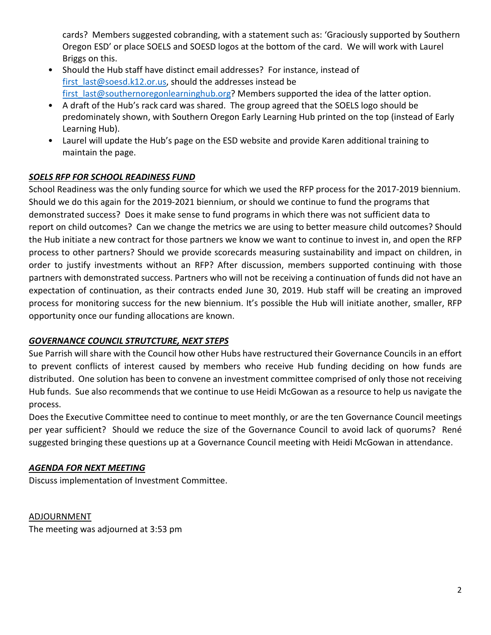cards? Members suggested cobranding, with a statement such as: 'Graciously supported by Southern Oregon ESD' or place SOELS and SOESD logos at the bottom of the card. We will work with Laurel Briggs on this.

- Should the Hub staff have distinct email addresses? For instance, instead of [first\\_last@soesd.k12.or.us,](mailto:first_last@soesd.k12.or.us) should the addresses instead be first\_last@southernoregonlearninghub.org? Members supported the idea of the latter option.
- A draft of the Hub's rack card was shared. The group agreed that the SOELS logo should be predominately shown, with Southern Oregon Early Learning Hub printed on the top (instead of Early Learning Hub).
- Laurel will update the Hub's page on the ESD website and provide Karen additional training to maintain the page.

# *SOELS RFP FOR SCHOOL READINESS FUND*

School Readiness was the only funding source for which we used the RFP process for the 2017-2019 biennium. Should we do this again for the 2019-2021 biennium, or should we continue to fund the programs that demonstrated success? Does it make sense to fund programs in which there was not sufficient data to report on child outcomes? Can we change the metrics we are using to better measure child outcomes? Should the Hub initiate a new contract for those partners we know we want to continue to invest in, and open the RFP process to other partners? Should we provide scorecards measuring sustainability and impact on children, in order to justify investments without an RFP? After discussion, members supported continuing with those partners with demonstrated success. Partners who will not be receiving a continuation of funds did not have an expectation of continuation, as their contracts ended June 30, 2019. Hub staff will be creating an improved process for monitoring success for the new biennium. It's possible the Hub will initiate another, smaller, RFP opportunity once our funding allocations are known.

# *GOVERNANCE COUNCIL STRUTCTURE, NEXT STEPS*

Sue Parrish will share with the Council how other Hubs have restructured their Governance Councils in an effort to prevent conflicts of interest caused by members who receive Hub funding deciding on how funds are distributed. One solution has been to convene an investment committee comprised of only those not receiving Hub funds. Sue also recommends that we continue to use Heidi McGowan as a resource to help us navigate the process.

Does the Executive Committee need to continue to meet monthly, or are the ten Governance Council meetings per year sufficient? Should we reduce the size of the Governance Council to avoid lack of quorums? René suggested bringing these questions up at a Governance Council meeting with Heidi McGowan in attendance.

## *AGENDA FOR NEXT MEETING*

Discuss implementation of Investment Committee.

ADJOURNMENT The meeting was adjourned at 3:53 pm